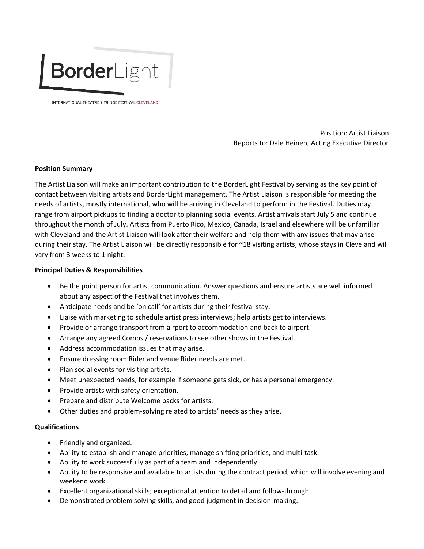

INTERNATIONAL THEATRE + FRINGE FESTIVAL CLEVELAND

Position: Artist Liaison Reports to: Dale Heinen, Acting Executive Director

## **Position Summary**

The Artist Liaison will make an important contribution to the BorderLight Festival by serving as the key point of contact between visiting artists and BorderLight management. The Artist Liaison is responsible for meeting the needs of artists, mostly international, who will be arriving in Cleveland to perform in the Festival. Duties may range from airport pickups to finding a doctor to planning social events. Artist arrivals start July 5 and continue throughout the month of July. Artists from Puerto Rico, Mexico, Canada, Israel and elsewhere will be unfamiliar with Cleveland and the Artist Liaison will look after their welfare and help them with any issues that may arise during their stay. The Artist Liaison will be directly responsible for ~18 visiting artists, whose stays in Cleveland will vary from 3 weeks to 1 night.

## **Principal Duties & Responsibilities**

- Be the point person for artist communication. Answer questions and ensure artists are well informed about any aspect of the Festival that involves them.
- Anticipate needs and be 'on call' for artists during their festival stay.
- Liaise with marketing to schedule artist press interviews; help artists get to interviews.
- Provide or arrange transport from airport to accommodation and back to airport.
- Arrange any agreed Comps / reservations to see other shows in the Festival.
- Address accommodation issues that may arise.
- Ensure dressing room Rider and venue Rider needs are met.
- Plan social events for visiting artists.
- Meet unexpected needs, for example if someone gets sick, or has a personal emergency.
- Provide artists with safety orientation.
- Prepare and distribute Welcome packs for artists.
- Other duties and problem-solving related to artists' needs as they arise.

## **Qualifications**

- Friendly and organized.
- Ability to establish and manage priorities, manage shifting priorities, and multi-task.
- Ability to work successfully as part of a team and independently.
- Ability to be responsive and available to artists during the contract period, which will involve evening and weekend work.
- Excellent organizational skills; exceptional attention to detail and follow-through.
- Demonstrated problem solving skills, and good judgment in decision-making.